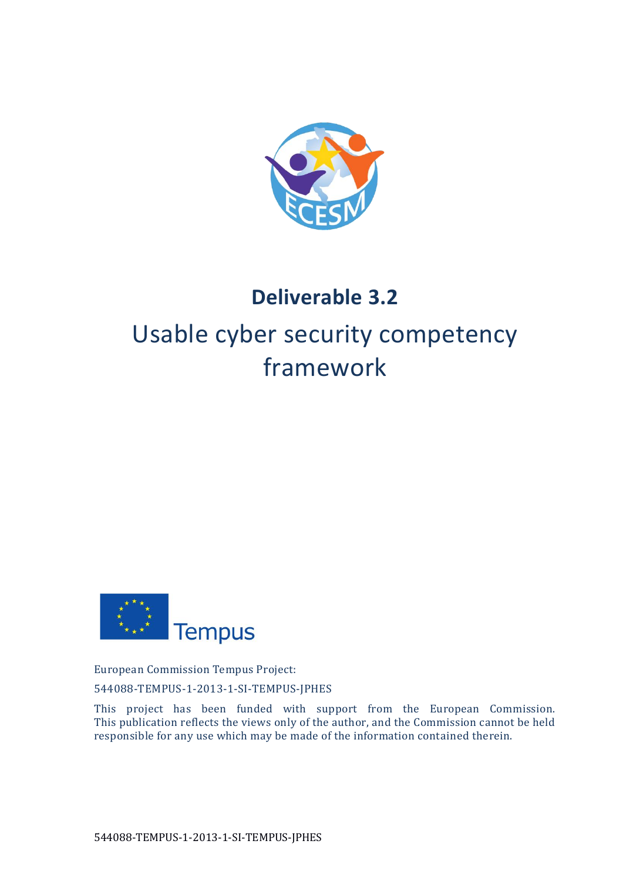

# **Deliverable 3.2**

# Usable cyber security competency framework



European Commission Tempus Project:

544088-TEMPUS-1-2013-1-SI-TEMPUS-JPHES

This project has been funded with support from the European Commission. This publication reflects the views only of the author, and the Commission cannot be held responsible for any use which may be made of the information contained therein.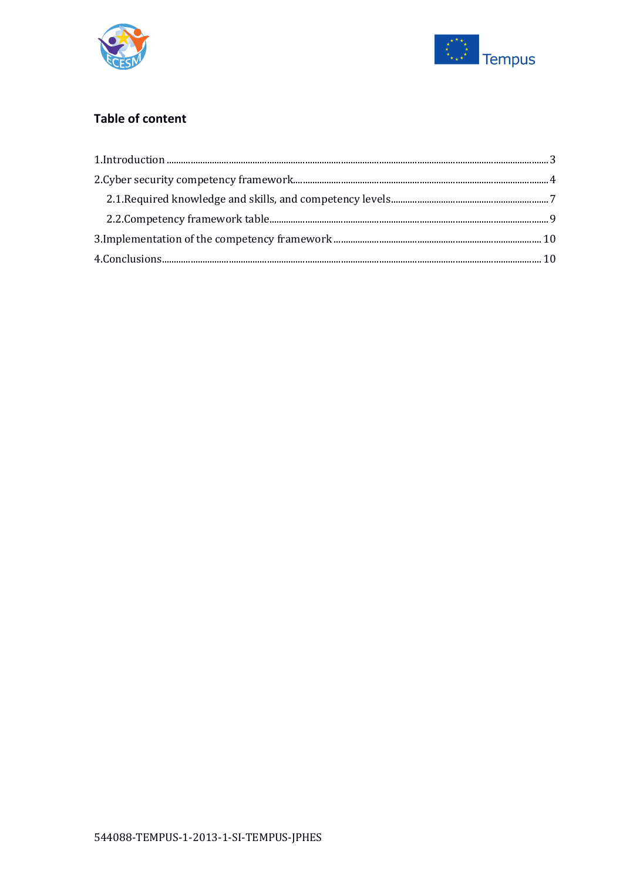



## **Table of content**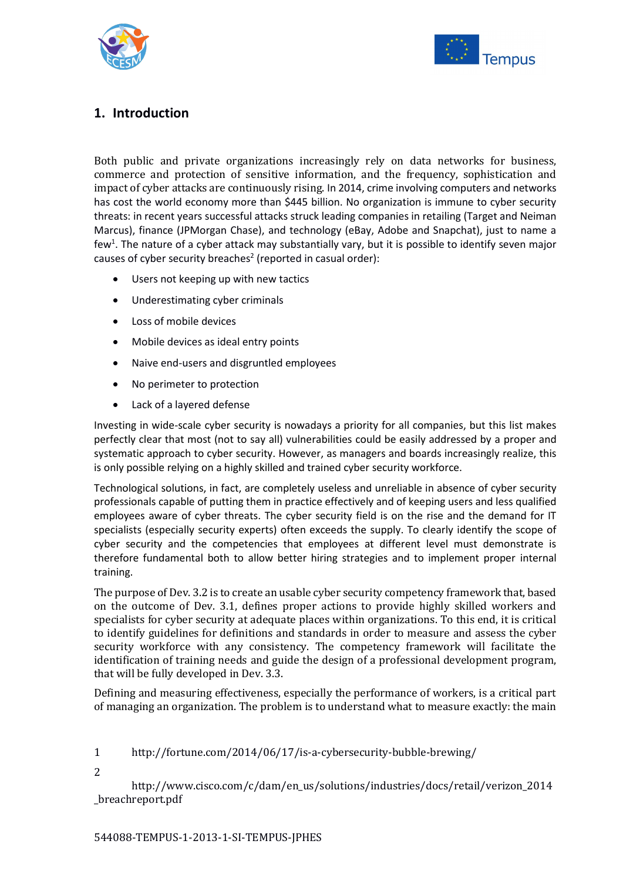



#### <span id="page-2-0"></span>**1. Introduction**

Both public and private organizations increasingly rely on data networks for business, commerce and protection of sensitive information, and the frequency, sophistication and impact of cyber attacks are continuously rising. In 2014, crime involving computers and networks has cost the world economy more than \$445 billion. No organization is immune to cyber security threats: in recent years successful attacks struck leading companies in retailing (Target and Neiman Marcus), finance (JPMorgan Chase), and technology (eBay, Adobe and Snapchat), just to name a few<sup>1</sup>. The nature of a cyber attack may substantially vary, but it is possible to identify seven major causes of cyber security breaches<sup>2</sup> (reported in casual order):

- Users not keeping up with new tactics
- Underestimating cyber criminals
- Loss of mobile devices
- Mobile devices as ideal entry points
- Naive end-users and disgruntled employees
- No perimeter to protection
- Lack of a layered defense

Investing in wide-scale cyber security is nowadays a priority for all companies, but this list makes perfectly clear that most (not to say all) vulnerabilities could be easily addressed by a proper and systematic approach to cyber security. However, as managers and boards increasingly realize, this is only possible relying on a highly skilled and trained cyber security workforce.

Technological solutions, in fact, are completely useless and unreliable in absence of cyber security professionals capable of putting them in practice effectively and of keeping users and less qualified employees aware of cyber threats. The cyber security field is on the rise and the demand for IT specialists (especially security experts) often exceeds the supply. To clearly identify the scope of cyber security and the competencies that employees at different level must demonstrate is therefore fundamental both to allow better hiring strategies and to implement proper internal training.

The purpose of Dev. 3.2 is to create an usable cyber security competency framework that, based on the outcome of Dev. 3.1, defines proper actions to provide highly skilled workers and specialists for cyber security at adequate places within organizations. To this end, it is critical to identify guidelines for definitions and standards in order to measure and assess the cyber security workforce with any consistency. The competency framework will facilitate the identification of training needs and guide the design of a professional development program, that will be fully developed in Dev. 3.3.

Defining and measuring effectiveness, especially the performance of workers, is a critical part of managing an organization. The problem is to understand what to measure exactly: the main

1 http://fortune.com/2014/06/17/is-a-cybersecurity-bubble-brewing/

2

http://www.cisco.com/c/dam/en\_us/solutions/industries/docs/retail/verizon\_2014 \_breachreport.pdf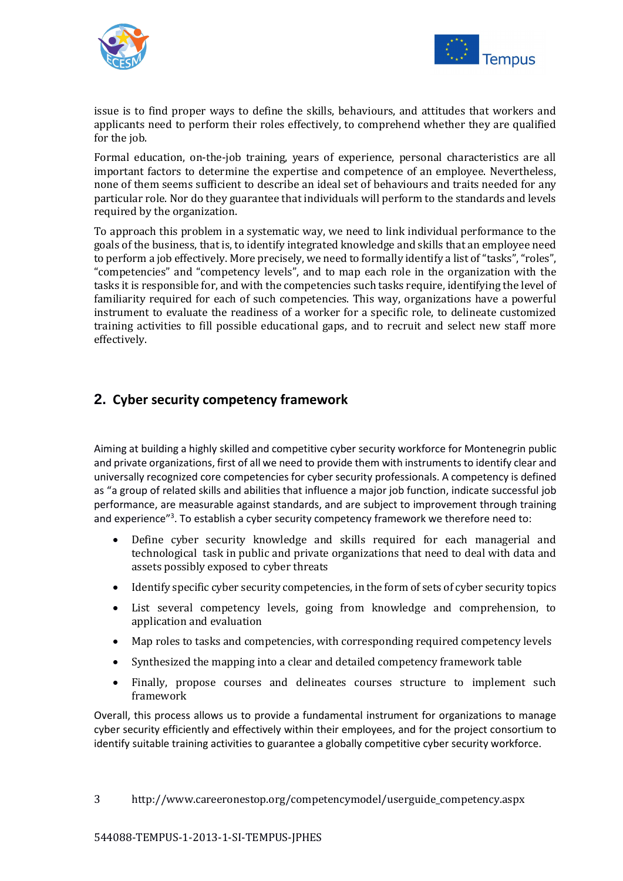



issue is to find proper ways to define the skills, behaviours, and attitudes that workers and applicants need to perform their roles effectively, to comprehend whether they are qualified for the job.

Formal education, on-the-job training, years of experience, personal characteristics are all important factors to determine the expertise and competence of an employee. Nevertheless, none of them seems sufficient to describe an ideal set of behaviours and traits needed for any particular role. Nor do they guarantee that individuals will perform to the standards and levels required by the organization.

To approach this problem in a systematic way, we need to link individual performance to the goals of the business, that is, to identify integrated knowledge and skills that an employee need to perform a job effectively. More precisely, we need to formally identify a list of "tasks", "roles", "competencies" and "competency levels", and to map each role in the organization with the tasks it is responsible for, and with the competencies such tasks require, identifying the level of familiarity required for each of such competencies. This way, organizations have a powerful instrument to evaluate the readiness of a worker for a specific role, to delineate customized training activities to fill possible educational gaps, and to recruit and select new staff more effectively.

#### <span id="page-3-0"></span>**2. Cyber security competency framework**

Aiming at building a highly skilled and competitive cyber security workforce for Montenegrin public and private organizations, first of all we need to provide them with instruments to identify clear and universally recognized core competencies for cyber security professionals. A competency is defined as "a group of related skills and abilities that influence a major job function, indicate successful job performance, are measurable against standards, and are subject to improvement through training and experience"<sup>3</sup>. To establish a cyber security competency framework we therefore need to:

- Define cyber security knowledge and skills required for each managerial and technological task in public and private organizations that need to deal with data and assets possibly exposed to cyber threats
- Identify specific cyber security competencies, in the form of sets of cyber security topics
- List several competency levels, going from knowledge and comprehension, to application and evaluation
- Map roles to tasks and competencies, with corresponding required competency levels
- Synthesized the mapping into a clear and detailed competency framework table
- Finally, propose courses and delineates courses structure to implement such framework

Overall, this process allows us to provide a fundamental instrument for organizations to manage cyber security efficiently and effectively within their employees, and for the project consortium to identify suitable training activities to guarantee a globally competitive cyber security workforce.

3 http://www.careeronestop.org/competencymodel/userguide\_competency.aspx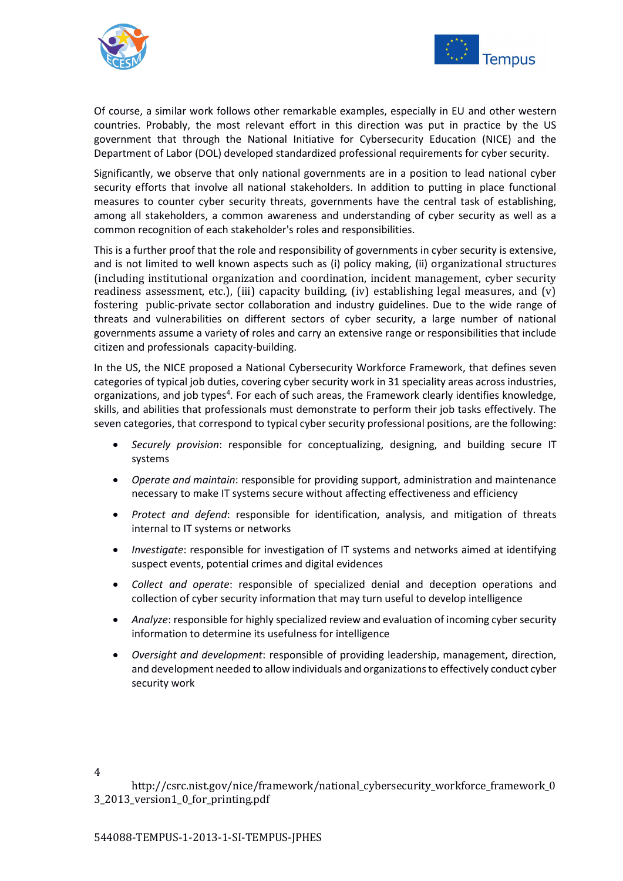



Of course, a similar work follows other remarkable examples, especially in EU and other western countries. Probably, the most relevant effort in this direction was put in practice by the US government that through the National Initiative for Cybersecurity Education (NICE) and the Department of Labor (DOL) developed standardized professional requirements for cyber security.

Significantly, we observe that only national governments are in a position to lead national cyber security efforts that involve all national stakeholders. In addition to putting in place functional measures to counter cyber security threats, governments have the central task of establishing, among all stakeholders, a common awareness and understanding of cyber security as well as a common recognition of each stakeholder's roles and responsibilities.

This is a further proof that the role and responsibility of governments in cyber security is extensive, and is not limited to well known aspects such as (i) policy making, (ii) organizational structures (including institutional organization and coordination, incident management, cyber security readiness assessment, etc.), (iii) capacity building, (iv) establishing legal measures, and (v) fostering public-private sector collaboration and industry guidelines. Due to the wide range of threats and vulnerabilities on different sectors of cyber security, a large number of national governments assume a variety of roles and carry an extensive range or responsibilities that include citizen and professionals capacity-building.

In the US, the NICE proposed a National Cybersecurity Workforce Framework, that defines seven categories of typical job duties, covering cyber security work in 31 speciality areas across industries, organizations, and job types<sup>4</sup>. For each of such areas, the Framework clearly identifies knowledge, skills, and abilities that professionals must demonstrate to perform their job tasks effectively. The seven categories, that correspond to typical cyber security professional positions, are the following:

- *Securely provision*: responsible for conceptualizing, designing, and building secure IT systems
- *Operate and maintain*: responsible for providing support, administration and maintenance necessary to make IT systems secure without affecting effectiveness and efficiency
- *Protect and defend*: responsible for identification, analysis, and mitigation of threats internal to IT systems or networks
- *Investigate*: responsible for investigation of IT systems and networks aimed at identifying suspect events, potential crimes and digital evidences
- *Collect and operate*: responsible of specialized denial and deception operations and collection of cyber security information that may turn useful to develop intelligence
- *Analyze*: responsible for highly specialized review and evaluation of incoming cyber security information to determine its usefulness for intelligence
- *Oversight and development*: responsible of providing leadership, management, direction, and development needed to allow individuals and organizations to effectively conduct cyber security work

http://csrc.nist.gov/nice/framework/national\_cybersecurity\_workforce\_framework\_0 3\_2013\_version1\_0\_for\_printing.pdf

4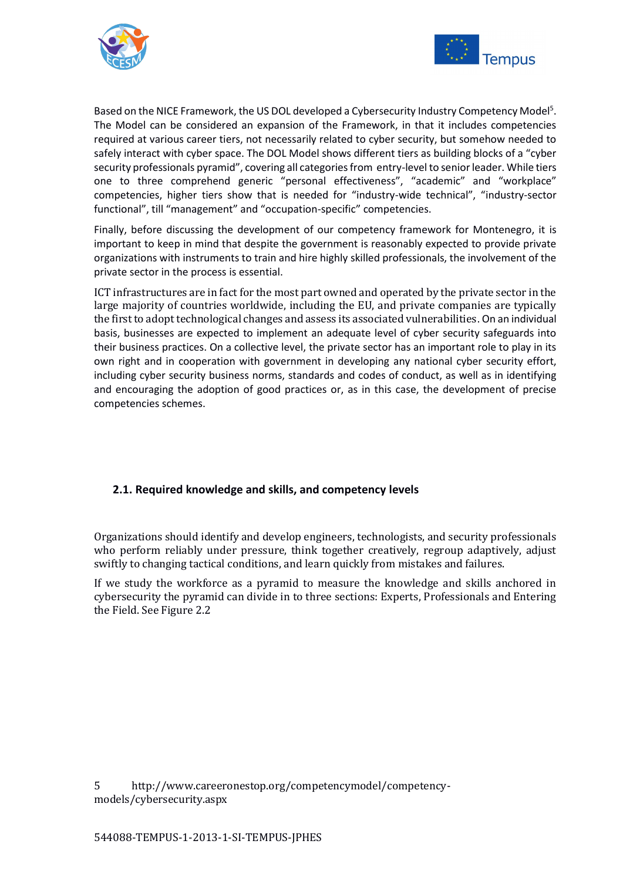



Based on the NICE Framework, the US DOL developed a Cybersecurity Industry Competency Model<sup>5</sup>. The Model can be considered an expansion of the Framework, in that it includes competencies required at various career tiers, not necessarily related to cyber security, but somehow needed to safely interact with cyber space. The DOL Model shows different tiers as building blocks of a "cyber security professionals pyramid", covering all categories from entry-level to senior leader. While tiers one to three comprehend generic "personal effectiveness", "academic" and "workplace" competencies, higher tiers show that is needed for "industry-wide technical", "industry-sector functional", till "management" and "occupation-specific" competencies.

Finally, before discussing the development of our competency framework for Montenegro, it is important to keep in mind that despite the government is reasonably expected to provide private organizations with instruments to train and hire highly skilled professionals, the involvement of the private sector in the process is essential.

ICT infrastructures are in fact for the most part owned and operated by the private sector in the large majority of countries worldwide, including the EU, and private companies are typically the first to adopt technological changes and assess its associated vulnerabilities. On an individual basis, businesses are expected to implement an adequate level of cyber security safeguards into their business practices. On a collective level, the private sector has an important role to play in its own right and in cooperation with government in developing any national cyber security effort, including cyber security business norms, standards and codes of conduct, as well as in identifying and encouraging the adoption of good practices or, as in this case, the development of precise competencies schemes.

#### <span id="page-5-0"></span>**2.1. Required knowledge and skills, and competency levels**

Organizations should identify and develop engineers, technologists, and security professionals who perform reliably under pressure, think together creatively, regroup adaptively, adjust swiftly to changing tactical conditions, and learn quickly from mistakes and failures.

If we study the workforce as a pyramid to measure the knowledge and skills anchored in cybersecurity the pyramid can divide in to three sections: Experts, Professionals and Entering the Field. See Figure 2.2

5 http://www.careeronestop.org/competencymodel/competencymodels/cybersecurity.aspx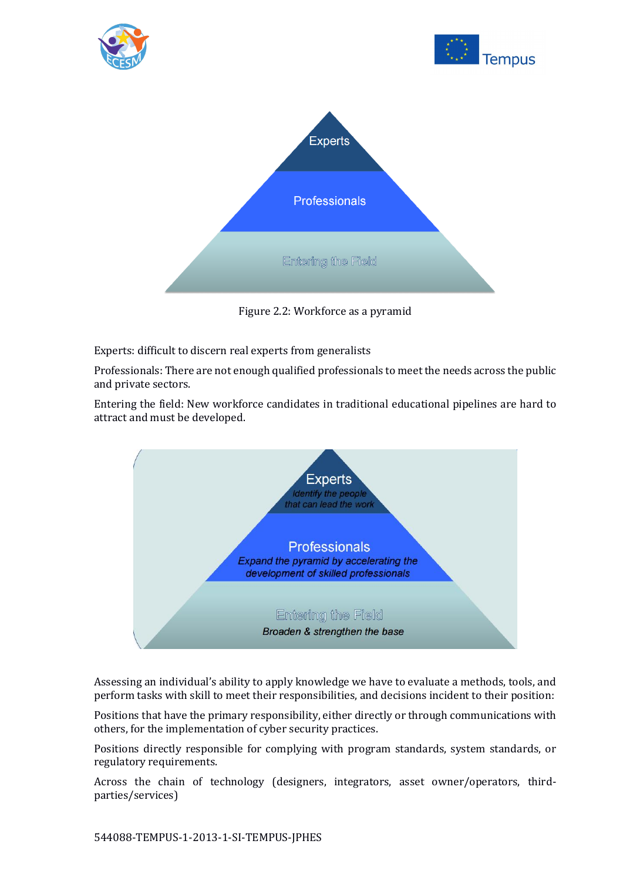

Figure 2.2: Workforce as a pyramid

Experts: difficult to discern real experts from generalists

Professionals: There are not enough qualified professionals to meet the needs across the public and private sectors.

Entering the field: New workforce candidates in traditional educational pipelines are hard to attract and must be developed.



Assessing an individual's ability to apply knowledge we have to evaluate a methods, tools, and perform tasks with skill to meet their responsibilities, and decisions incident to their position:

Positions that have the primary responsibility, either directly or through communications with others, for the implementation of cyber security practices.

Positions directly responsible for complying with program standards, system standards, or regulatory requirements.

Across the chain of technology (designers, integrators, asset owner/operators, thirdparties/services)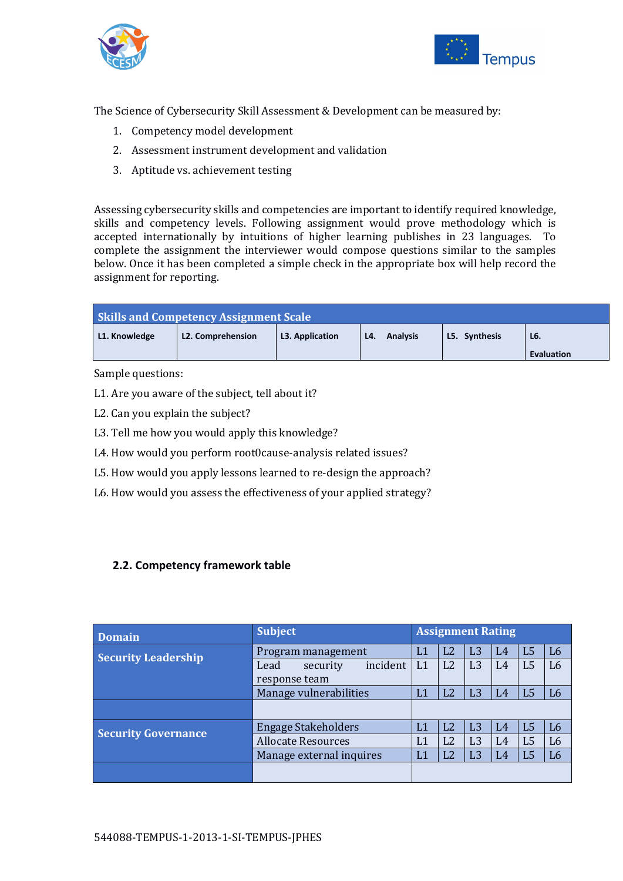



The Science of Cybersecurity Skill Assessment & Development can be measured by:

- 1. Competency model development
- 2. Assessment instrument development and validation
- 3. Aptitude vs. achievement testing

Assessing cybersecurity skills and competencies are important to identify required knowledge, skills and competency levels. Following assignment would prove methodology which is accepted internationally by intuitions of higher learning publishes in 23 languages. To complete the assignment the interviewer would compose questions similar to the samples below. Once it has been completed a simple check in the appropriate box will help record the assignment for reporting.

| <b>Skills and Competency Assignment Scale</b> |                          |                 |                        |               |                   |  |  |  |
|-----------------------------------------------|--------------------------|-----------------|------------------------|---------------|-------------------|--|--|--|
| L1. Knowledge                                 | <b>L2. Comprehension</b> | L3. Application | <b>Analysis</b><br>L4. | L5. Synthesis | $L6$              |  |  |  |
|                                               |                          |                 |                        |               | <b>Evaluation</b> |  |  |  |

Sample questions:

- L1. Are you aware of the subject, tell about it?
- L2. Can you explain the subject?
- L3. Tell me how you would apply this knowledge?
- L4. How would you perform root0cause-analysis related issues?
- L5. How would you apply lessons learned to re-design the approach?
- L6. How would you assess the effectiveness of your applied strategy?

#### <span id="page-7-0"></span>**2.2. Competency framework table**

| <b>Domain</b>              | <b>Subject</b>               | <b>Assignment Rating</b>                                                                     |  |  |  |  |  |
|----------------------------|------------------------------|----------------------------------------------------------------------------------------------|--|--|--|--|--|
| <b>Security Leadership</b> | Program management           | L <sub>2</sub><br>L <sub>3</sub><br>L <sub>5</sub><br>L <sub>6</sub><br>L1<br>L <sub>4</sub> |  |  |  |  |  |
|                            | incident<br>Lead<br>security | L <sub>2</sub><br>L <sub>3</sub><br>L <sub>5</sub><br>L <sub>6</sub><br>L1<br>L <sub>4</sub> |  |  |  |  |  |
|                            | response team                |                                                                                              |  |  |  |  |  |
|                            | Manage vulnerabilities       | L <sub>3</sub><br>L <sub>2</sub><br>L <sub>5</sub><br>L1<br>L4<br>L <sub>6</sub>             |  |  |  |  |  |
|                            |                              |                                                                                              |  |  |  |  |  |
| <b>Security Governance</b> | <b>Engage Stakeholders</b>   | L <sub>2</sub><br>L <sub>3</sub><br>L <sub>5</sub><br>L <sub>6</sub><br>L1<br>L4             |  |  |  |  |  |
|                            | <b>Allocate Resources</b>    | L <sub>2</sub><br>L <sub>3</sub><br>L <sub>5</sub><br>L1<br>L4<br>L <sub>6</sub>             |  |  |  |  |  |
|                            | Manage external inquires     | L <sub>3</sub><br>L <sub>2</sub><br>L <sub>5</sub><br>L1<br>L4<br>L <sub>6</sub>             |  |  |  |  |  |
|                            |                              |                                                                                              |  |  |  |  |  |